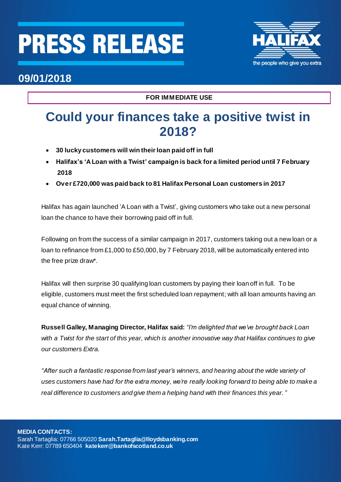## **PRESS RELEASE**



### **09/01/2018**

**FOR IMMEDIATE USE**

## **Could your finances take a positive twist in 2018?**

- **30 lucky customers will win their loan paid off in full**
- **Halifax's 'A Loan with a Twist' campaign is back for a limited period until 7 February 2018**
- **Over £720,000 was paid back to 81 Halifax Personal Loan customers in 2017**

Halifax has again launched 'A Loan with a Twist', giving customers who take out a new personal loan the chance to have their borrowing paid off in full.

Following on from the success of a similar campaign in 2017, customers taking out a new loan or a loan to refinance from £1,000 to £50,000, by 7 February 2018, will be automatically entered into the free prize draw\*.

Halifax will then surprise 30 qualifying loan customers by paying their loan off in full. To be eligible, customers must meet the first scheduled loan repayment; with all loan amounts having an equal chance of winning.

**Russell Galley, Managing Director, Halifax said:** *"I'm delighted that we've brought back Loan with a Twist for the start of this year, which is another innovative way that Halifax continues to give our customers Extra.* 

*"After such a fantastic response from last year's winners, and hearing about the wide variety of uses customers have had for the extra money, we're really looking forward to being able to make a real difference to customers and give them a helping hand with their finances this year."*